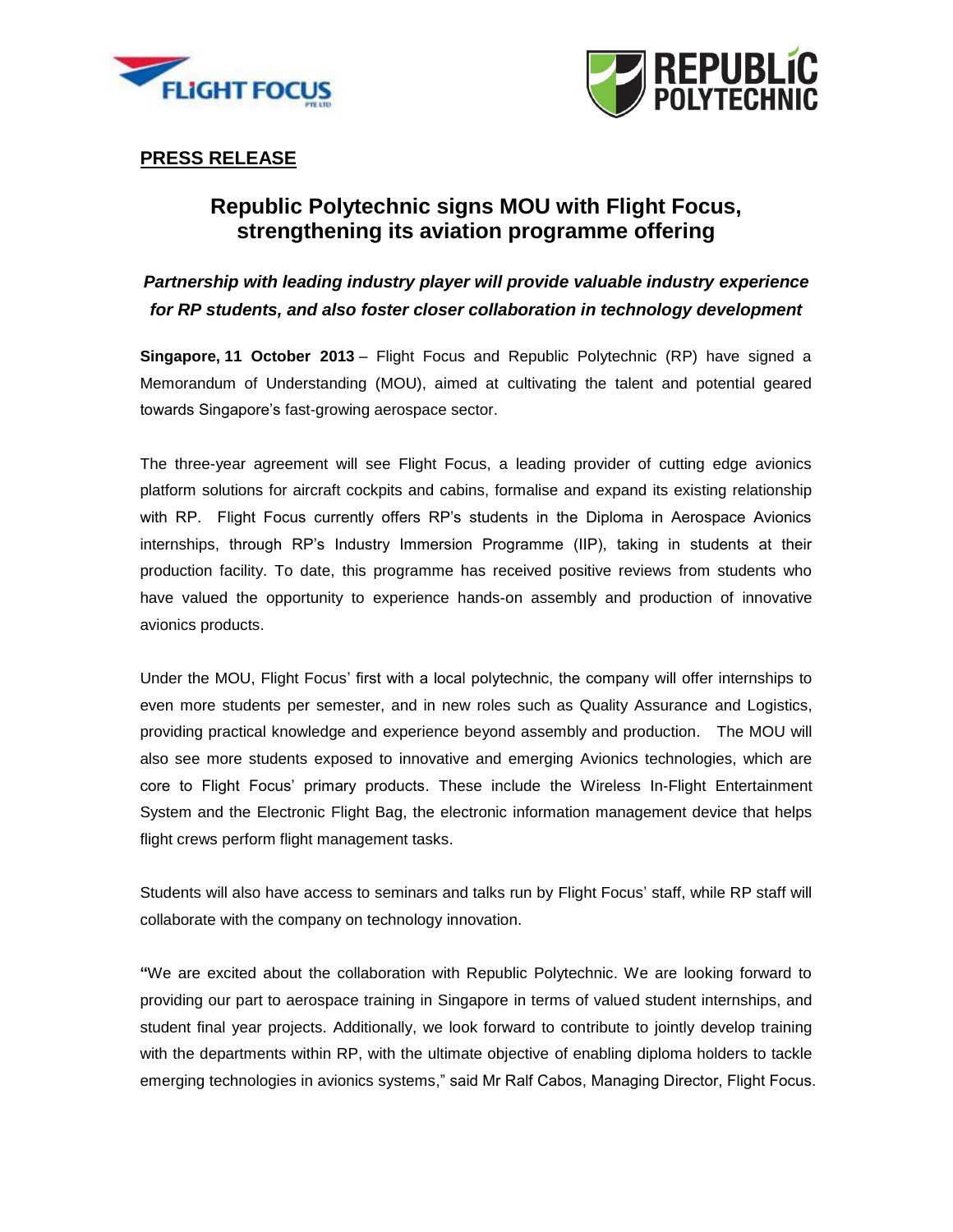



## **PRESS RELEASE**

## **Republic Polytechnic signs MOU with Flight Focus, strengthening its aviation programme offering**

*Partnership with leading industry player will provide valuable industry experience for RP students, and also foster closer collaboration in technology development*

**Singapore, 11 October 2013** – Flight Focus and Republic Polytechnic (RP) have signed a Memorandum of Understanding (MOU), aimed at cultivating the talent and potential geared towards Singapore's fast-growing aerospace sector.

The three-year agreement will see Flight Focus, a leading provider of cutting edge avionics platform solutions for aircraft cockpits and cabins, formalise and expand its existing relationship with RP. Flight Focus currently offers RP's students in the Diploma in Aerospace Avionics internships, through RP's Industry Immersion Programme (IIP), taking in students at their production facility. To date, this programme has received positive reviews from students who have valued the opportunity to experience hands-on assembly and production of innovative avionics products.

Under the MOU, Flight Focus' first with a local polytechnic, the company will offer internships to even more students per semester, and in new roles such as Quality Assurance and Logistics, providing practical knowledge and experience beyond assembly and production. The MOU will also see more students exposed to innovative and emerging Avionics technologies, which are core to Flight Focus' primary products. These include the Wireless In-Flight Entertainment System and the Electronic Flight Bag, the electronic information management device that helps flight [crews](http://en.wikipedia.org/wiki/Crew) perform flight management tasks.

Students will also have access to seminars and talks run by Flight Focus' staff, while RP staff will collaborate with the company on technology innovation.

**"**We are excited about the collaboration with Republic Polytechnic. We are looking forward to providing our part to aerospace training in Singapore in terms of valued student internships, and student final year projects. Additionally, we look forward to contribute to jointly develop training with the departments within RP, with the ultimate objective of enabling diploma holders to tackle emerging technologies in avionics systems," said Mr Ralf Cabos, Managing Director, Flight Focus.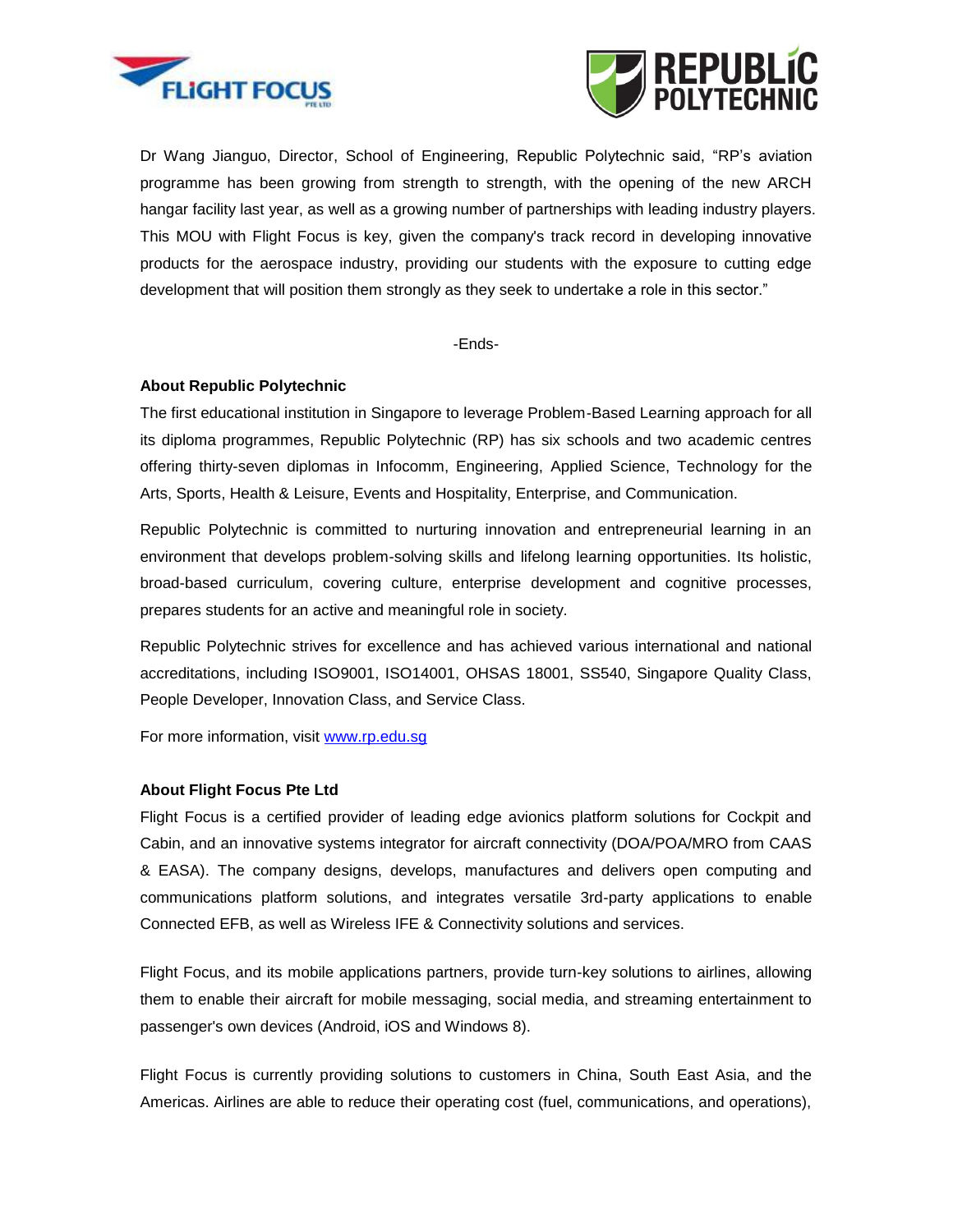



Dr Wang Jianguo, Director, School of Engineering, Republic Polytechnic said, "RP's aviation programme has been growing from strength to strength, with the opening of the new ARCH hangar facility last year, as well as a growing number of partnerships with leading industry players. This MOU with Flight Focus is key, given the company's track record in developing innovative products for the aerospace industry, providing our students with the exposure to cutting edge development that will position them strongly as they seek to undertake a role in this sector."

-Ends-

## **About Republic Polytechnic**

The first educational institution in Singapore to leverage Problem-Based Learning approach for all its diploma programmes, Republic Polytechnic (RP) has six schools and two academic centres offering thirty-seven diplomas in Infocomm, Engineering, Applied Science, Technology for the Arts, Sports, Health & Leisure, Events and Hospitality, Enterprise, and Communication.

Republic Polytechnic is committed to nurturing innovation and entrepreneurial learning in an environment that develops problem-solving skills and lifelong learning opportunities. Its holistic, broad-based curriculum, covering culture, enterprise development and cognitive processes, prepares students for an active and meaningful role in society.

Republic Polytechnic strives for excellence and has achieved various international and national accreditations, including ISO9001, ISO14001, OHSAS 18001, SS540, Singapore Quality Class, People Developer, Innovation Class, and Service Class.

For more information, visit www.rp.edu.sq

## **About Flight Focus Pte Ltd**

Flight Focus is a certified provider of leading edge avionics platform solutions for Cockpit and Cabin, and an innovative systems integrator for aircraft connectivity (DOA/POA/MRO from CAAS & EASA). The company designs, develops, manufactures and delivers open computing and communications platform solutions, and integrates versatile 3rd-party applications to enable Connected EFB, as well as Wireless IFE & Connectivity solutions and services.

Flight Focus, and its mobile applications partners, provide turn-key solutions to airlines, allowing them to enable their aircraft for mobile messaging, social media, and streaming entertainment to passenger's own devices (Android, iOS and Windows 8).

Flight Focus is currently providing solutions to customers in China, South East Asia, and the Americas. Airlines are able to reduce their operating cost (fuel, communications, and operations),